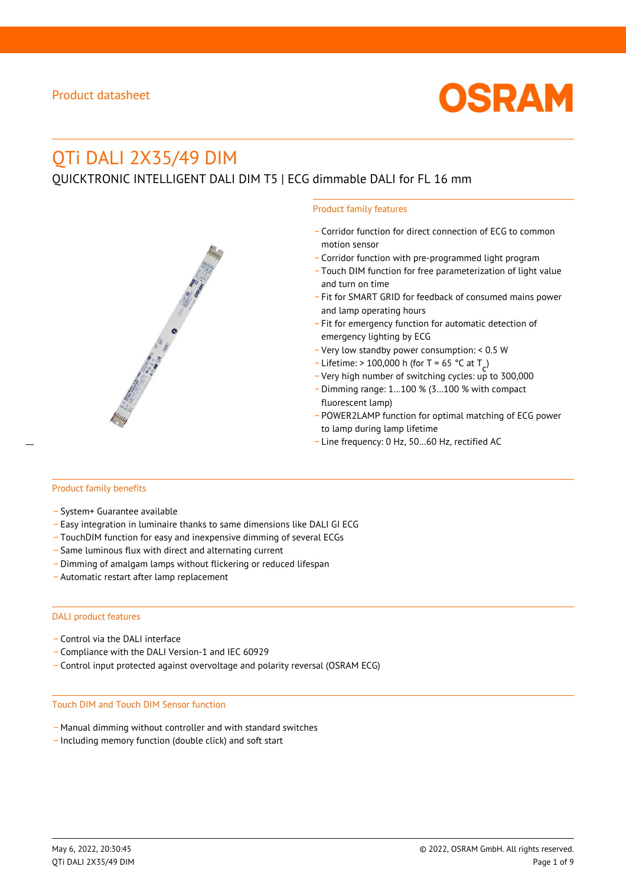

# QTi DALI 2X35/49 DIM

QUICKTRONIC INTELLIGENT DALI DIM T5 | ECG dimmable DALI for FL 16 mm



- \_ Corridor function for direct connection of ECG to common motion sensor
- \_ Corridor function with pre-programmed light program
- \_ Touch DIM function for free parameterization of light value and turn on time
- Fit for SMART GRID for feedback of consumed mains power and lamp operating hours
- \_ Fit for emergency function for automatic detection of emergency lighting by ECG
- \_ Very low standby power consumption: < 0.5 W
- $-$  Lifetime: > 100,000 h (for T = 65 °C at T
- Litedine. The 100,000 in (ion 1 05 ° C at  $1\frac{c^7}{c^7}$ <br>- Very high number of switching cycles: up to 300,000
- \_ Dimming range: 1…100 % (3…100 % with compact fluorescent lamp)
- POWER2LAMP function for optimal matching of ECG power to lamp during lamp lifetime
- Line frequency: 0 Hz, 50...60 Hz, rectified AC

#### Product family benefits

- \_ System+ Guarantee available
- \_ Easy integration in luminaire thanks to same dimensions like DALI GI ECG
- \_ TouchDIM function for easy and inexpensive dimming of several ECGs
- \_ Same luminous flux with direct and alternating current
- \_ Dimming of amalgam lamps without flickering or reduced lifespan
- \_ Automatic restart after lamp replacement

#### DALI product features

- Control via the DALI interface
- \_ Compliance with the DALI Version-1 and IEC 60929
- \_ Control input protected against overvoltage and polarity reversal (OSRAM ECG)

#### Touch DIM and Touch DIM Sensor function

- \_ Manual dimming without controller and with standard switches
- \_ Including memory function (double click) and soft start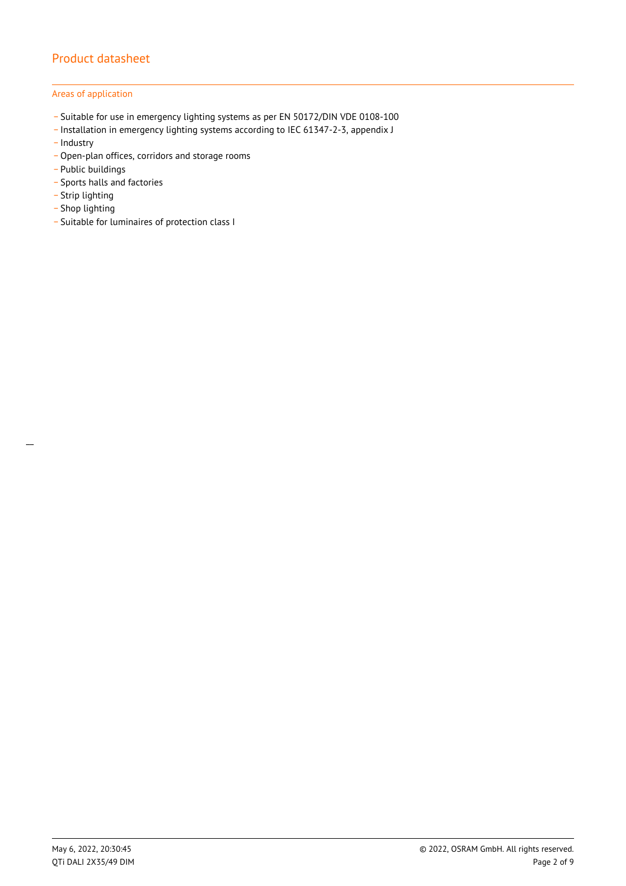### Areas of application

- \_ Suitable for use in emergency lighting systems as per EN 50172/DIN VDE 0108-100
- \_ Installation in emergency lighting systems according to IEC 61347-2-3, appendix J
- Industry
- Open-plan offices, corridors and storage rooms
- \_ Public buildings
- \_ Sports halls and factories
- .<br>- Strip lighting
- \_ Shop lighting

 $\overline{a}$ 

\_ Suitable for luminaires of protection class I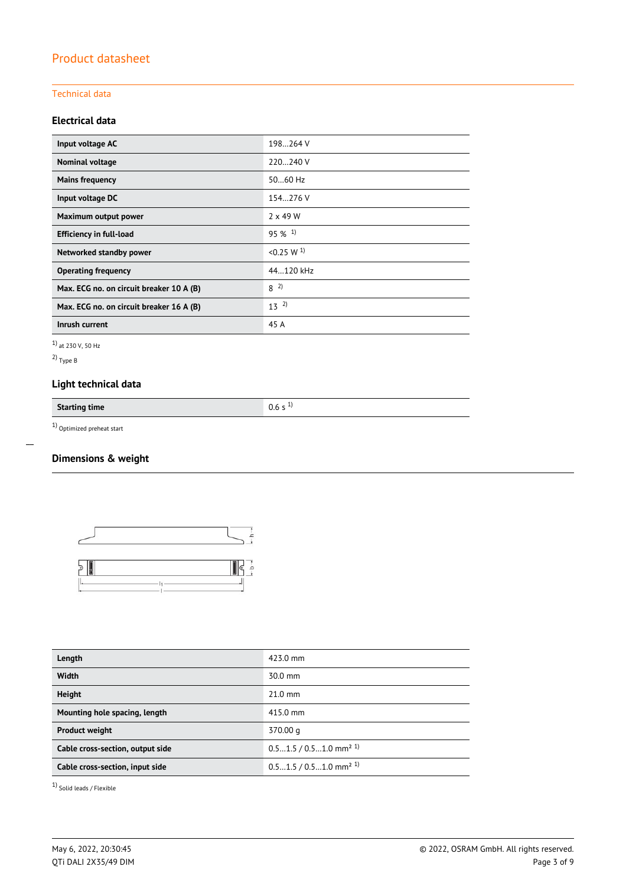### Technical data

### **Electrical data**

| Input voltage AC                         | 198264 V              |
|------------------------------------------|-----------------------|
| Nominal voltage                          | 220240 V              |
| <b>Mains frequency</b>                   | $5060$ Hz             |
| Input voltage DC                         | 154.276 V             |
| Maximum output power                     | $2 \times 49$ W       |
| <b>Efficiency in full-load</b>           | $95\%$ <sup>1)</sup>  |
| Networked standby power                  | < 0.25 W <sup>1</sup> |
| <b>Operating frequency</b>               | 44.120 kHz            |
| Max. ECG no. on circuit breaker 10 A (B) | $8^{2}$               |
| Max. ECG no. on circuit breaker 16 A (B) | $13^{2}$              |
| Inrush current                           | 45 A                  |

1) at 230 V, 50 Hz

2) Type B

 $\overline{a}$ 

## **Light technical data**

**Starting time** 0.6 s <sup>1)</sup>

 $1)$  Optimized preheat start

### **Dimensions & weight**



| Length                           | 423.0 mm                             |
|----------------------------------|--------------------------------------|
| <b>Width</b>                     | $30.0$ mm                            |
| <b>Height</b>                    | $21.0$ mm                            |
| Mounting hole spacing, length    | 415.0 mm                             |
| <b>Product weight</b>            | 370.00 g                             |
| Cable cross-section, output side | $0.51.5 / 0.51.0$ mm <sup>2 1)</sup> |
| Cable cross-section, input side  | $0.51.5 / 0.51.0$ mm <sup>2 1)</sup> |
|                                  |                                      |

1) Solid leads / Flexible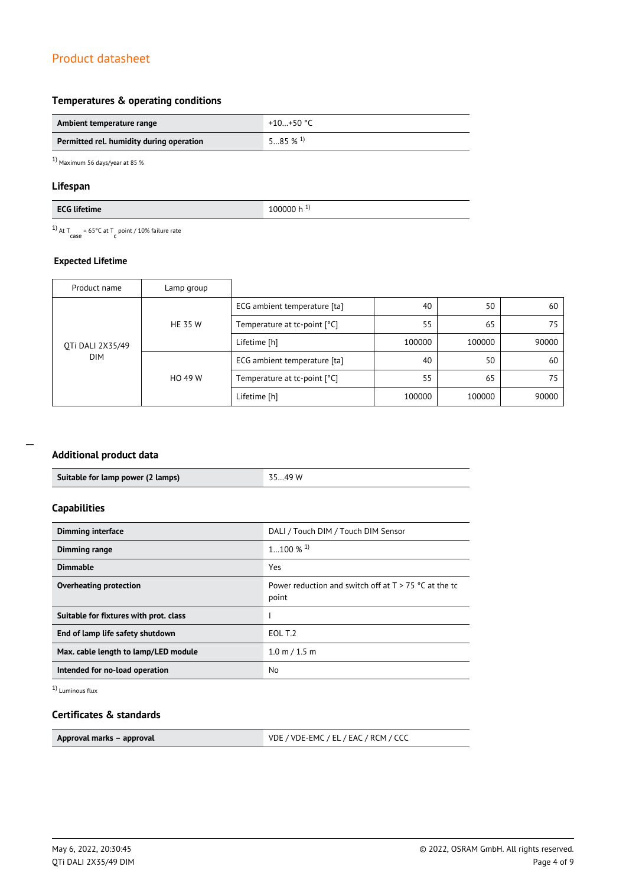### **Temperatures & operating conditions**

| Ambient temperature range                | +10+50 °C             |
|------------------------------------------|-----------------------|
| Permitted rel. humidity during operation | $585\%$ <sup>1)</sup> |

1) Maximum 56 days/year at 85 %

### **Lifespan**

| $-1.1 - 1.1$ | 11 H   |
|--------------|--------|
| $\mathbf{r}$ | . .    |
| . .          | n      |
| me           | .      |
|              | $\sim$ |

<sup>1)</sup> At T<sub>case</sub> = 65°C at T<sub>c</sub> point / 10% failure rate

### **Expected Lifetime**

| Product name     | Lamp group     |                              |        |        |       |
|------------------|----------------|------------------------------|--------|--------|-------|
|                  |                | ECG ambient temperature [ta] | 40     | 50     | 60    |
|                  | <b>HE 35 W</b> | Temperature at tc-point [°C] | 55     | 65     | 75    |
| OTi DALI 2X35/49 |                | Lifetime [h]                 | 100000 | 100000 | 90000 |
| <b>DIM</b>       |                | ECG ambient temperature [ta] | 40     | 50     | 60    |
|                  | HO 49 W        | Temperature at tc-point [°C] | 55     | 65     | 75    |
|                  |                | Lifetime [h]                 | 100000 | 100000 | 90000 |

### **Additional product data**

|  | Suitable for lamp power (2 lamps) | 3549 W |
|--|-----------------------------------|--------|
|--|-----------------------------------|--------|

### **Capabilities**

| <b>Dimming interface</b>               | DALI / Touch DIM / Touch DIM Sensor                              |
|----------------------------------------|------------------------------------------------------------------|
| <b>Dimming range</b>                   | $1100\%$ <sup>1)</sup>                                           |
| <b>Dimmable</b>                        | Yes                                                              |
| Overheating protection                 | Power reduction and switch off at $T > 75$ °C at the tc<br>point |
| Suitable for fixtures with prot. class |                                                                  |
| End of lamp life safety shutdown       | EOL T.2                                                          |
| Max. cable length to lamp/LED module   | $1.0 \text{ m} / 1.5 \text{ m}$                                  |
| Intended for no-load operation         | No                                                               |

1) Luminous flux

### **Certificates & standards**

| Approval marks - approval | VDE / VDE-EMC / EL / EAC / RCM / CCC |
|---------------------------|--------------------------------------|
|                           |                                      |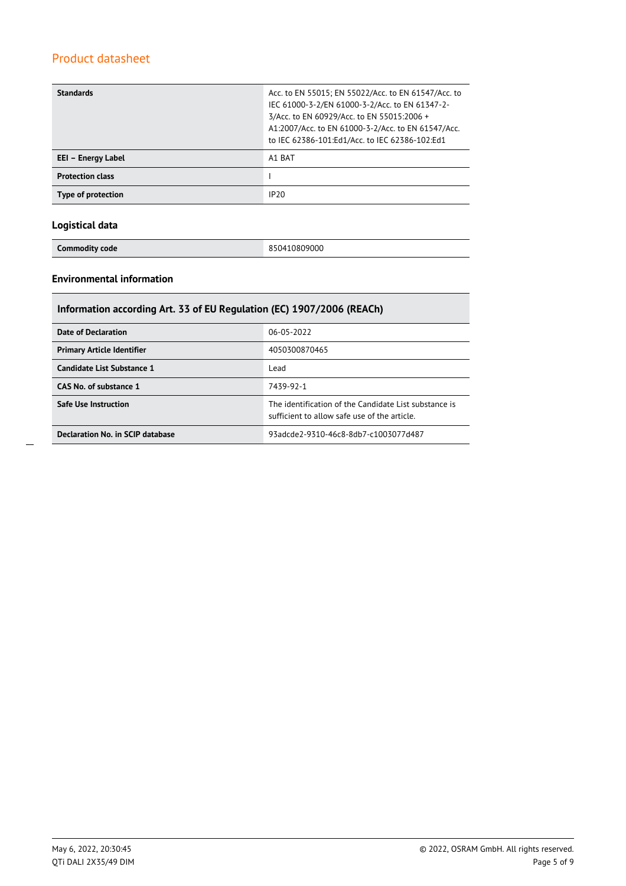| <b>Standards</b>        | Acc. to EN 55015; EN 55022/Acc. to EN 61547/Acc. to<br>IEC 61000-3-2/EN 61000-3-2/Acc. to EN 61347-2-<br>3/Acc. to EN 60929/Acc. to EN 55015:2006 +<br>A1:2007/Acc. to EN 61000-3-2/Acc. to EN 61547/Acc.<br>to IEC 62386-101:Ed1/Acc. to IEC 62386-102:Ed1 |  |
|-------------------------|-------------------------------------------------------------------------------------------------------------------------------------------------------------------------------------------------------------------------------------------------------------|--|
| EEI - Energy Label      | A1 BAT                                                                                                                                                                                                                                                      |  |
| <b>Protection class</b> |                                                                                                                                                                                                                                                             |  |
| Type of protection      | IP20                                                                                                                                                                                                                                                        |  |

### **Logistical data**

**Commodity code** 850410809000

### **Environmental information**

| Information according Art. 33 of EU Regulation (EC) 1907/2006 (REACh) |                                                                                                       |  |  |
|-----------------------------------------------------------------------|-------------------------------------------------------------------------------------------------------|--|--|
| <b>Date of Declaration</b>                                            | 06-05-2022                                                                                            |  |  |
| <b>Primary Article Identifier</b>                                     | 4050300870465                                                                                         |  |  |
| Candidate List Substance 1                                            | Lead                                                                                                  |  |  |
| CAS No. of substance 1                                                | 7439-92-1                                                                                             |  |  |
| <b>Safe Use Instruction</b>                                           | The identification of the Candidate List substance is<br>sufficient to allow safe use of the article. |  |  |
| Declaration No. in SCIP database                                      | 93adcde2-9310-46c8-8db7-c1003077d487                                                                  |  |  |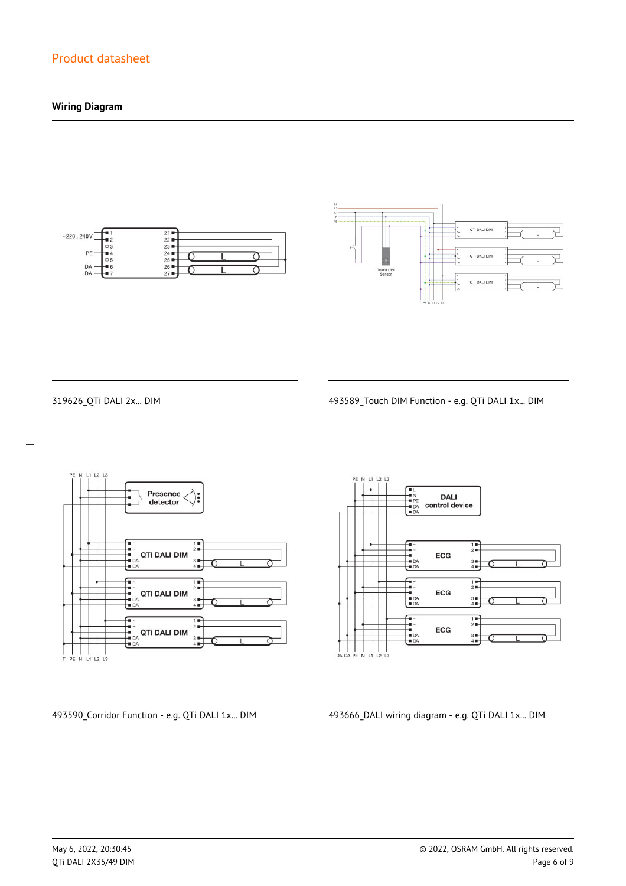### **Wiring Diagram**





 $\overline{a}$ 

319626\_QTi DALI 2x... DIM 493589\_Touch DIM Function - e.g. QTi DALI 1x... DIM



**DALI** control device  $\frac{1}{2}$ ECG  $\frac{3}{4}$  $\begin{array}{c}\n\overline{11} \\
\overline{21} \\
\overline{11}\n\end{array}$ --<br>--<br>-- DA<br>-- DA ECG  $3 +$ <br> $4 +$  $\frac{1}{2}$ 1<br>1<br>1<br>1<br>1<br>1<br>2 ECG  $3 +$ <br> $4 +$ 

493590\_Corridor Function - e.g. QTi DALI 1x... DIM 493666\_DALI wiring diagram - e.g. QTi DALI 1x... DIM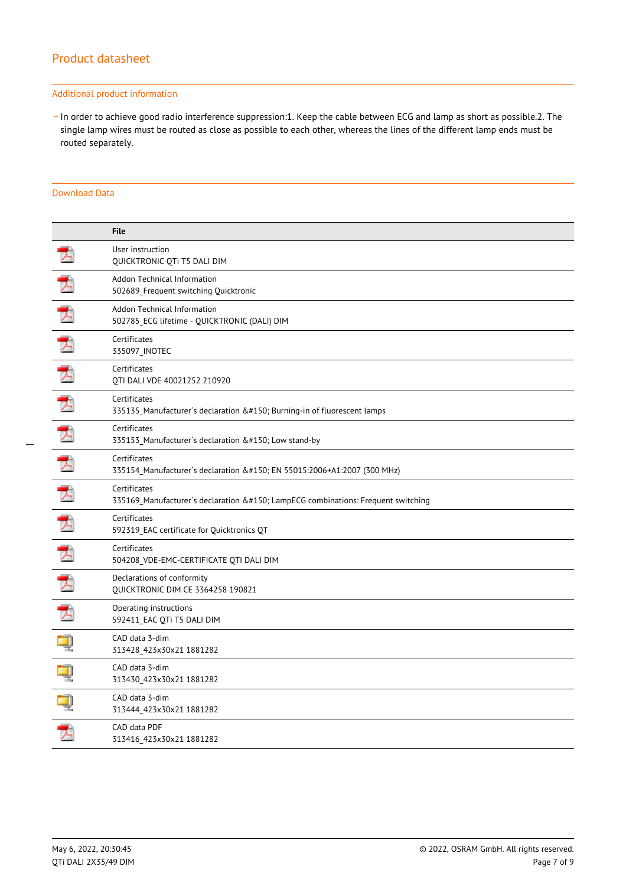#### Additional product information

\_ In order to achieve good radio interference suppression:1. Keep the cable between ECG and lamp as short as possible.2. The single lamp wires must be routed as close as possible to each other, whereas the lines of the different lamp ends must be routed separately.

### Download Data

|   | <b>File</b>                                                                                  |
|---|----------------------------------------------------------------------------------------------|
|   | User instruction<br>QUICKTRONIC QTi T5 DALI DIM                                              |
| ブ | Addon Technical Information<br>502689_Frequent switching Quicktronic                         |
| 大 | Addon Technical Information<br>502785 ECG lifetime - QUICKTRONIC (DALI) DIM                  |
| 大 | Certificates<br>335097_INOTEC                                                                |
|   | Certificates<br>QTI DALI VDE 40021252 210920                                                 |
|   | Certificates<br>335135 Manufacturer's declaration – Burning-in of fluorescent lamps          |
| 丈 | Certificates<br>335153 Manufacturer's declaration – Low stand-by                             |
| 玉 | Certificates<br>335154 Manufacturer's declaration – EN 55015:2006+A1:2007 (300 MHz)          |
| プ | Certificates<br>335169 Manufacturer's declaration – LampECG combinations: Frequent switching |
| 工 | Certificates<br>592319 EAC certificate for Quicktronics QT                                   |
| 了 | Certificates<br>504208_VDE-EMC-CERTIFICATE QTI DALI DIM                                      |
| 飞 | Declarations of conformity<br><b>QUICKTRONIC DIM CE 3364258 190821</b>                       |
| 人 | Operating instructions<br>592411 EAC QTi T5 DALI DIM                                         |
|   | CAD data 3-dim<br>313428 423x30x21 1881282                                                   |
|   | CAD data 3-dim<br>313430_423x30x21 1881282                                                   |
|   | CAD data 3-dim<br>313444_423x30x21 1881282                                                   |
|   | CAD data PDF<br>313416 423x30x21 1881282                                                     |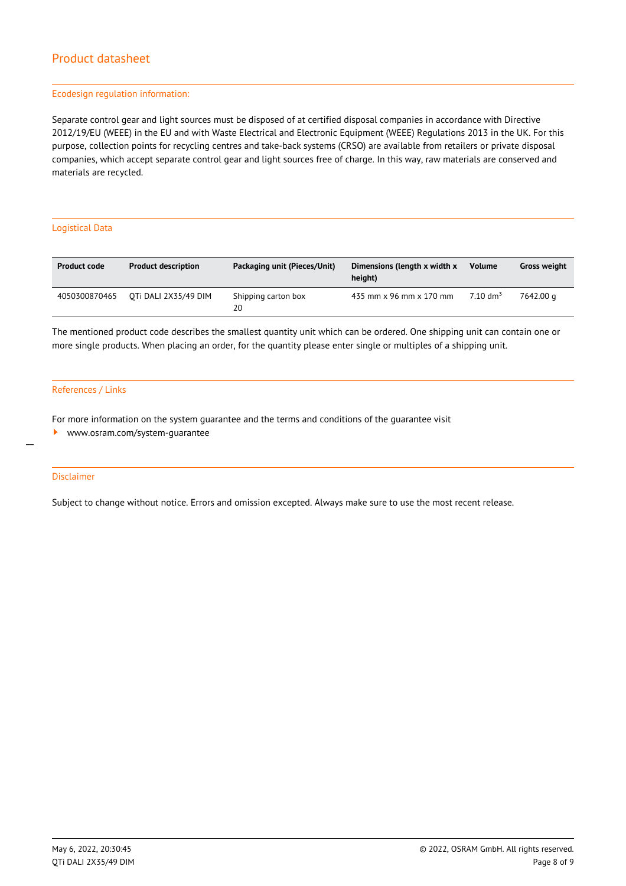#### Ecodesign regulation information:

Separate control gear and light sources must be disposed of at certified disposal companies in accordance with Directive 2012/19/EU (WEEE) in the EU and with Waste Electrical and Electronic Equipment (WEEE) Regulations 2013 in the UK. For this purpose, collection points for recycling centres and take-back systems (CRSO) are available from retailers or private disposal companies, which accept separate control gear and light sources free of charge. In this way, raw materials are conserved and materials are recycled.

#### Logistical Data

| <b>Product code</b> | <b>Product description</b> | Packaging unit (Pieces/Unit) | Dimensions (length x width x<br>height) | <b>Volume</b>       | <b>Gross weight</b> |
|---------------------|----------------------------|------------------------------|-----------------------------------------|---------------------|---------------------|
| 4050300870465       | OTI DALI 2X35/49 DIM       | Shipping carton box<br>20    | 435 mm x 96 mm x 170 mm                 | $7.10 \text{ dm}^3$ | 7642.00 a           |

The mentioned product code describes the smallest quantity unit which can be ordered. One shipping unit can contain one or more single products. When placing an order, for the quantity please enter single or multiples of a shipping unit.

#### References / Links

For more information on the system guarantee and the terms and conditions of the guarantee visit

<www.osram.com/system-guarantee>

#### Disclaimer

 $\overline{a}$ 

Subject to change without notice. Errors and omission excepted. Always make sure to use the most recent release.